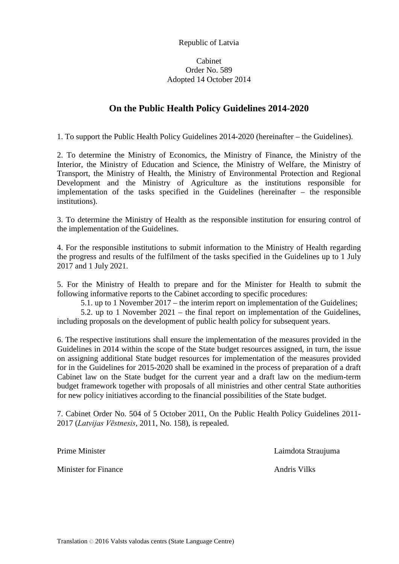Republic of Latvia

## Cabinet Order No. 589 Adopted 14 October 2014

## **On the Public Health Policy Guidelines 2014-2020**

1. To support the Public Health Policy Guidelines 2014-2020 (hereinafter – the Guidelines).

2. To determine the Ministry of Economics, the Ministry of Finance, the Ministry of the Interior, the Ministry of Education and Science, the Ministry of Welfare, the Ministry of Transport, the Ministry of Health, the Ministry of Environmental Protection and Regional Development and the Ministry of Agriculture as the institutions responsible for implementation of the tasks specified in the Guidelines (hereinafter – the responsible institutions).

3. To determine the Ministry of Health as the responsible institution for ensuring control of the implementation of the Guidelines.

4. For the responsible institutions to submit information to the Ministry of Health regarding the progress and results of the fulfilment of the tasks specified in the Guidelines up to 1 July 2017 and 1 July 2021.

5. For the Ministry of Health to prepare and for the Minister for Health to submit the following informative reports to the Cabinet according to specific procedures:

5.1. up to 1 November 2017 – the interim report on implementation of the Guidelines;

5.2. up to 1 November 2021 – the final report on implementation of the Guidelines, including proposals on the development of public health policy for subsequent years.

6. The respective institutions shall ensure the implementation of the measures provided in the Guidelines in 2014 within the scope of the State budget resources assigned, in turn, the issue on assigning additional State budget resources for implementation of the measures provided for in the Guidelines for 2015-2020 shall be examined in the process of preparation of a draft Cabinet law on the State budget for the current year and a draft law on the medium-term budget framework together with proposals of all ministries and other central State authorities for new policy initiatives according to the financial possibilities of the State budget.

7. Cabinet Order No. 504 of 5 October 2011, On the Public Health Policy Guidelines 2011- 2017 (*Latvijas Vēstnesis*, 2011, No. 158), is repealed.

Minister for Finance **Andri**s Vilks **Andris Vilks** 

Prime Minister **Laimdota** Straujuma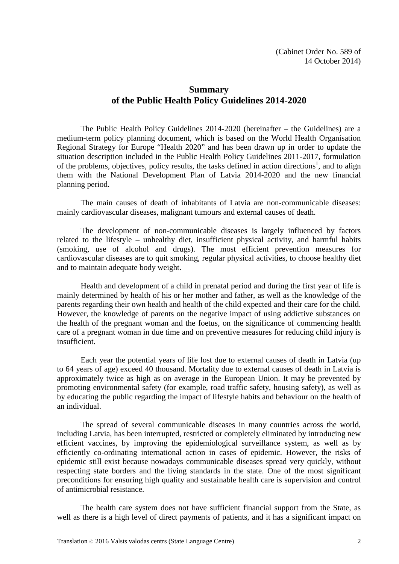## **Summary of the Public Health Policy Guidelines 2014-2020**

The Public Health Policy Guidelines 2014-2020 (hereinafter – the Guidelines) are a medium-term policy planning document, which is based on the World Health Organisation Regional Strategy for Europe "Health 2020" and has been drawn up in order to update the situation description included in the Public Health Policy Guidelines 2011-2017, formulation of the problems, objectives, policy results, the tasks defined in action directions<sup>1</sup>, and to align them with the National Development Plan of Latvia 2014-2020 and the new financial planning period.

The main causes of death of inhabitants of Latvia are non-communicable diseases: mainly cardiovascular diseases, malignant tumours and external causes of death.

The development of non-communicable diseases is largely influenced by factors related to the lifestyle – unhealthy diet, insufficient physical activity, and harmful habits (smoking, use of alcohol and drugs). The most efficient prevention measures for cardiovascular diseases are to quit smoking, regular physical activities, to choose healthy diet and to maintain adequate body weight.

Health and development of a child in prenatal period and during the first year of life is mainly determined by health of his or her mother and father, as well as the knowledge of the parents regarding their own health and health of the child expected and their care for the child. However, the knowledge of parents on the negative impact of using addictive substances on the health of the pregnant woman and the foetus, on the significance of commencing health care of a pregnant woman in due time and on preventive measures for reducing child injury is insufficient.

Each year the potential years of life lost due to external causes of death in Latvia (up to 64 years of age) exceed 40 thousand. Mortality due to external causes of death in Latvia is approximately twice as high as on average in the European Union. It may be prevented by promoting environmental safety (for example, road traffic safety, housing safety), as well as by educating the public regarding the impact of lifestyle habits and behaviour on the health of an individual.

The spread of several communicable diseases in many countries across the world, including Latvia, has been interrupted, restricted or completely eliminated by introducing new efficient vaccines, by improving the epidemiological surveillance system, as well as by efficiently co-ordinating international action in cases of epidemic. However, the risks of epidemic still exist because nowadays communicable diseases spread very quickly, without respecting state borders and the living standards in the state. One of the most significant preconditions for ensuring high quality and sustainable health care is supervision and control of antimicrobial resistance.

The health care system does not have sufficient financial support from the State, as well as there is a high level of direct payments of patients, and it has a significant impact on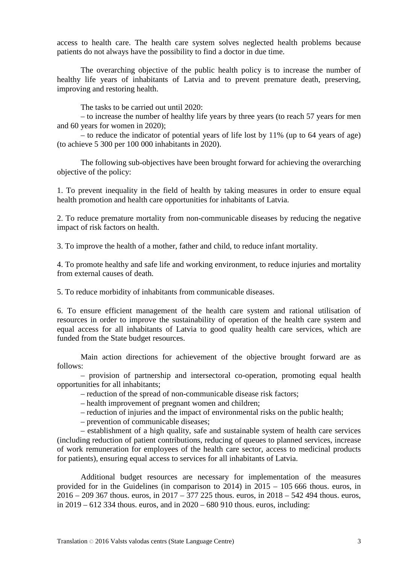access to health care. The health care system solves neglected health problems because patients do not always have the possibility to find a doctor in due time.

The overarching objective of the public health policy is to increase the number of healthy life years of inhabitants of Latvia and to prevent premature death, preserving, improving and restoring health.

The tasks to be carried out until 2020:

– to increase the number of healthy life years by three years (to reach 57 years for men and 60 years for women in 2020);

– to reduce the indicator of potential years of life lost by 11% (up to 64 years of age) (to achieve 5 300 per 100 000 inhabitants in 2020).

The following sub-objectives have been brought forward for achieving the overarching objective of the policy:

1. To prevent inequality in the field of health by taking measures in order to ensure equal health promotion and health care opportunities for inhabitants of Latvia.

2. To reduce premature mortality from non-communicable diseases by reducing the negative impact of risk factors on health.

3. To improve the health of a mother, father and child, to reduce infant mortality.

4. To promote healthy and safe life and working environment, to reduce injuries and mortality from external causes of death.

5. To reduce morbidity of inhabitants from communicable diseases.

6. To ensure efficient management of the health care system and rational utilisation of resources in order to improve the sustainability of operation of the health care system and equal access for all inhabitants of Latvia to good quality health care services, which are funded from the State budget resources.

Main action directions for achievement of the objective brought forward are as follows:

– provision of partnership and intersectoral co-operation, promoting equal health opportunities for all inhabitants;

– reduction of the spread of non-communicable disease risk factors;

– health improvement of pregnant women and children;

– reduction of injuries and the impact of environmental risks on the public health;

– prevention of communicable diseases;

– establishment of a high quality, safe and sustainable system of health care services (including reduction of patient contributions, reducing of queues to planned services, increase of work remuneration for employees of the health care sector, access to medicinal products for patients), ensuring equal access to services for all inhabitants of Latvia.

Additional budget resources are necessary for implementation of the measures provided for in the Guidelines (in comparison to 2014) in 2015 – 105 666 thous. euros, in 2016 – 209 367 thous. euros, in 2017 – 377 225 thous. euros, in 2018 – 542 494 thous. euros, in 2019 – 612 334 thous. euros, and in 2020 – 680 910 thous. euros, including: